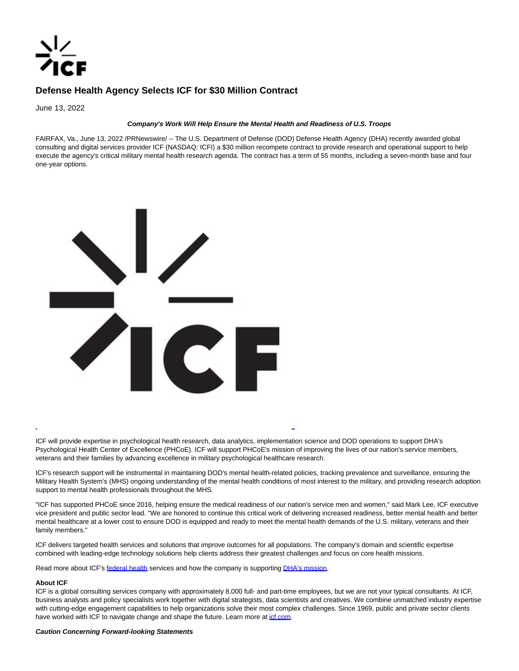

# **Defense Health Agency Selects ICF for \$30 Million Contract**

June 13, 2022

## **Company's Work Will Help Ensure the Mental Health and Readiness of U.S. Troops**

FAIRFAX, Va., June 13, 2022 /PRNewswire/ -- The U.S. Department of Defense (DOD) Defense Health Agency (DHA) recently awarded global consulting and digital services provider ICF (NASDAQ: ICFI) a \$30 million recompete contract to provide research and operational support to help execute the agency's critical military mental health research agenda. The contract has a term of 55 months, including a seven-month base and four one-year options.



ICF will provide expertise in psychological health research, data analytics, implementation science and DOD operations to support DHA's Psychological Health Center of Excellence (PHCoE). ICF will support PHCoE's mission of improving the lives of our nation's service members, veterans and their families by advancing excellence in military psychological healthcare research.

ICF's research support will be instrumental in maintaining DOD's mental health-related policies, tracking prevalence and surveillance, ensuring the Military Health System's (MHS) ongoing understanding of the mental health conditions of most interest to the military, and providing research adoption support to mental health professionals throughout the MHS.

L

"ICF has supported PHCoE since 2016, helping ensure the medical readiness of our nation's service men and women," said Mark Lee, ICF executive vice president and public sector lead. "We are honored to continue this critical work of delivering increased readiness, better mental health and better mental healthcare at a lower cost to ensure DOD is equipped and ready to meet the mental health demands of the U.S. military, veterans and their family members."

ICF delivers targeted health services and solutions that improve outcomes for all populations. The company's domain and scientific expertise combined with leading-edge technology solutions help clients address their greatest challenges and focus on core health missions.

Read more about ICF's [federal health s](https://c212.net/c/link/?t=0&l=en&o=3565520-1&h=440636856&u=https%3A%2F%2Fwww.icf.com%2Fwork%2Ffederal-health&a=federal+health)ervices and how the company is supportin[g DHA's mission.](https://c212.net/c/link/?t=0&l=en&o=3565520-1&h=3287690206&u=https%3A%2F%2Fwww.icf.com%2Fclients%2Fhealth%2Fdha-defending-mental-health-american-troops&a=DHA%27s+mission)

#### **About ICF**

ICF is a global consulting services company with approximately 8,000 full- and part-time employees, but we are not your typical consultants. At ICF, business analysts and policy specialists work together with digital strategists, data scientists and creatives. We combine unmatched industry expertise with cutting-edge engagement capabilities to help organizations solve their most complex challenges. Since 1969, public and private sector clients have worked with ICF to navigate change and shape the future. Learn more at *icf.com*.

### **Caution Concerning Forward-looking Statements**